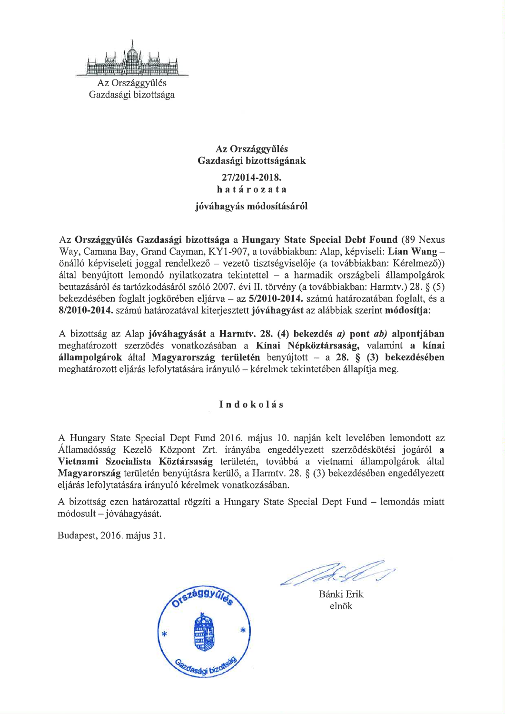

Az Országgyűlés Gazdasági bizottsága

# Az Országgyűlés Gazdasági bizottságának 27/2014-2018. határozata

## jóváhagyás módosításáról

Az Országgyűlés Gazdasági bizottsága a Hungary State Special Debt Found (89 Nexus Way, Camana Bay, Grand Cayman, KY1-907, a továbbiakban: Alap, képviseli: Lian Wang önálló képviseleti joggal rendelkező – vezető tisztségviselője (a továbbiakban: Kérelmező)) által benyújtott lemondó nyilatkozatra tekintettel - a harmadik országbeli állampolgárok beutazásáról és tartózkodásáról szóló 2007. évi II. törvény (a továbbiakban: Harmtv.) 28. § (5) bekezdésében foglalt jogkörében eljárva – az 5/2010-2014. számú határozatában foglalt, és a 8/2010-2014. számú határozatával kiterjesztett jóváhagyást az alábbiak szerint módosítja:

A bizottság az Alap jóváhagyását a Harmtv. 28. (4) bekezdés a) pont ab) alpontjában meghatározott szerződés vonatkozásában a Kínai Népköztársaság, valamint a kínai állampolgárok által Magyarország területén benyújtott – a 28. §  $(3)$  bekezdésében meghatározott eljárás lefolytatására irányuló – kérelmek tekintetében állapítja meg.

## Indokolás

A Hungary State Special Dept Fund 2016. május 10. napján kelt levelében lemondott az Államadósság Kezelő Központ Zrt. irányába engedélyezett szerződéskötési jogáról a Vietnami Szocialista Köztársaság területén, továbbá a vietnami állampolgárok által Magyarország területén benyújtásra kerülő, a Harmtv. 28. § (3) bekezdésében engedélyezett eljárás lefolytatására irányuló kérelmek vonatkozásában.

A bizottság ezen határozattal rögzíti a Hungary State Special Dept Fund – lemondás miatt módosult – jóváhagyását.

Budapest, 2016. május 31.



Bánki Erik elnök